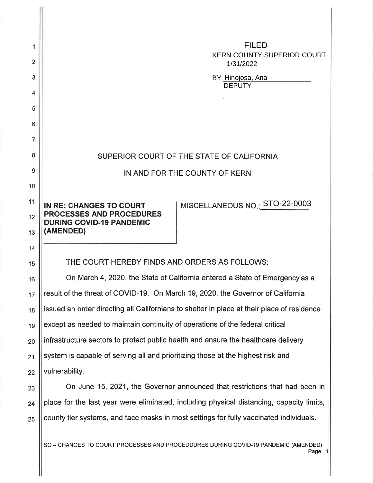| 1  | <b>FILED</b><br><b>KERN COUNTY SUPERIOR COURT</b>                                          |
|----|--------------------------------------------------------------------------------------------|
| 2  | 1/31/2022                                                                                  |
| 3  | BY Hinojosa, Ana<br><b>DEPUTY</b>                                                          |
| 4  |                                                                                            |
| 5  |                                                                                            |
| 6  |                                                                                            |
| 7  |                                                                                            |
| 8  | SUPERIOR COURT OF THE STATE OF CALIFORNIA                                                  |
| 9  | IN AND FOR THE COUNTY OF KERN                                                              |
| 10 |                                                                                            |
| 11 | MISCELLANEOUS NO.: STO-22-0003<br><b>IN RE: CHANGES TO COURT</b>                           |
| 12 | <b>PROCESSES AND PROCEDURES</b><br><b>DURING COVID-19 PANDEMIC</b>                         |
| 13 | (AMENDED)                                                                                  |
| 14 |                                                                                            |
| 15 | THE COURT HEREBY FINDS AND ORDERS AS FOLLOWS:                                              |
| 16 | On March 4, 2020, the State of California entered a State of Emergency as a                |
| 17 | result of the threat of COVID-19. On March 19, 2020, the Governor of California            |
| 18 | issued an order directing all Californians to shelter in place at their place of residence |
| 19 | except as needed to maintain continuity of operations of the federal critical              |
| 20 | infrastructure sectors to protect public health and ensure the healthcare delivery         |
| 21 | system is capable of serving all and prioritizing those at the highest risk and            |
| 22 | vulnerability.                                                                             |
| 23 | On June 15, 2021, the Governor announced that restrictions that had been in                |
| 24 | place for the last year were eliminated, including physical distancing, capacity limits,   |
| 25 | county tier systems, and face masks in most settings for fully vaccinated individuals.     |

SO – CHANGES TO COURT PROCESSES AND PROCEDDURES DURING COVID-19 PANDEMIC (AMENDED)  $\; \; | \; \;$ Page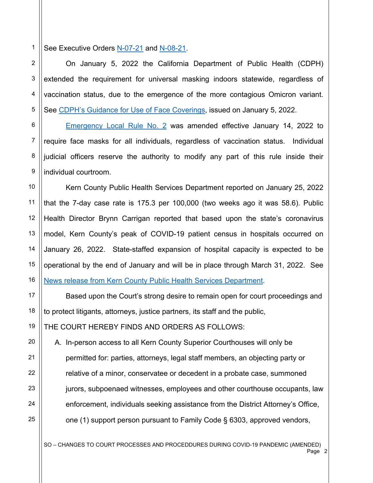1 See Executive Orders N-07-21 and N-08-21.

 On January 5, 2022 the California Department of Public Health (CDPH) extended the requirement for universal masking indoors statewide, regardless of vaccination status, due to the emergence of the more contagious Omicron variant. See CDPH's Guidance for Use of Face Coverings, issued on January 5, 2022.

Emergency Local Rule No. 2 was amended effective January 14, 2022 to require face masks for all individuals, regardless of vaccination status. Individual judicial officers reserve the authority to modify any part of this rule inside their individual courtroom.

 Kern County Public Health Services Department reported on January 25, 2022 that the 7-day case rate is 175.3 per 100,000 (two weeks ago it was 58.6). Public Health Director Brynn Carrigan reported that based upon the state's coronavirus model, Kern County's peak of COVID-19 patient census in hospitals occurred on January 26, 2022. State-staffed expansion of hospital capacity is expected to be operational by the end of January and will be in place through March 31, 2022. See News release from Kern County Public Health Services Department.

 Based upon the Court's strong desire to remain open for court proceedings and to protect litigants, attorneys, justice partners, its staff and the public,

THE COURT HEREBY FINDS AND ORDERS AS FOLLOWS:

A. In-person access to all Kern County Superior Courthouses will only be permitted for: parties, attorneys, legal staff members, an objecting party or relative of a minor, conservatee or decedent in a probate case, summoned jurors, subpoenaed witnesses, employees and other courthouse occupants, law enforcement, individuals seeking assistance from the District Attorney's Office, one (1) support person pursuant to Family Code § 6303, approved vendors,

SO – CHANGES TO COURT PROCESSES AND PROCEDDURES DURING COVID-19 PANDEMIC (AMENDED)<br>Page 2 Page 2

13

14

15

16

17

18

19

20

21

22

23

24

25

2

3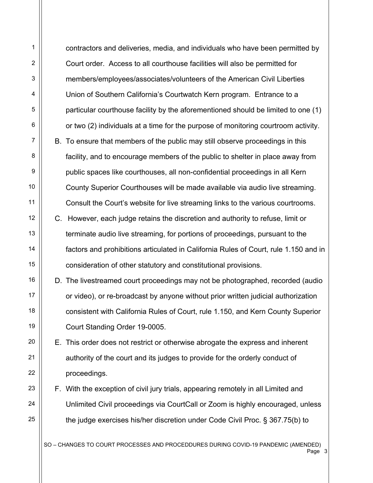contractors and deliveries, media, and individuals who have been permitted by Court order. Access to all courthouse facilities will also be permitted for members/employees/associates/volunteers of the American Civil Liberties Union of Southern California's Courtwatch Kern program. Entrance to a particular courthouse facility by the aforementioned should be limited to one (1) or two (2) individuals at a time for the purpose of monitoring courtroom activity. B. To ensure that members of the public may still observe proceedings in this facility, and to encourage members of the public to shelter in place away from public spaces like courthouses, all non-confidential proceedings in all Kern County Superior Courthouses will be made available via audio live streaming. Consult the Court's website for live streaming links to the various courtrooms. C. However, each judge retains the discretion and authority to refuse, limit or terminate audio live streaming, for portions of proceedings, pursuant to the factors and prohibitions articulated in California Rules of Court, rule 1.150 and in consideration of other statutory and constitutional provisions. D. The livestreamed court proceedings may not be photographed, recorded (audio or video), or re-broadcast by anyone without prior written judicial authorization consistent with California Rules of Court, rule 1.150, and Kern County Superior Court Standing Order 19-0005. E. This order does not restrict or otherwise abrogate the express and inherent authority of the court and its judges to provide for the orderly conduct of proceedings. F. With the exception of civil jury trials, appearing remotely in all Limited and Unlimited Civil proceedings via CourtCall or Zoom is highly encouraged, unless the judge exercises his/her discretion under Code Civil Proc. § 367.75(b) to

SO – CHANGES TO COURT PROCESSES AND PROCEDDURES DURING COVID-19 PANDEMIC (AMENDED) Page 3 and 20 and 20 and 20 and 20 and 20 and 20 and 20 and 20 and 20 and 20 and 20 and 20 and 20 and 20 and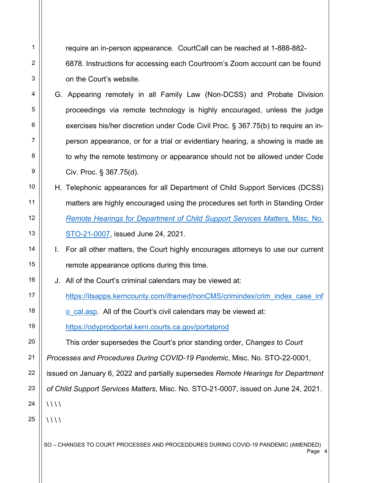1 2 3 4 5 6 7 8 9 10 11 12 13 14 15 16 17 18 19 20 21 22 23 24 25 require an in-person appearance. CourtCall can be reached at 1-888-882- 6878. Instructions for accessing each Courtroom's Zoom account can be found on the Court's website. G. Appearing remotely in all Family Law (Non-DCSS) and Probate Division proceedings via remote technology is highly encouraged, unless the judge exercises his/her discretion under Code Civil Proc. § 367.75(b) to require an inperson appearance, or for a trial or evidentiary hearing, a showing is made as to why the remote testimony or appearance should not be allowed under Code Civ. Proc. § 367.75(d). H. Telephonic appearances for all Department of Child Support Services (DCSS) matters are highly encouraged using the procedures set forth in Standing Order *Remote Hearings for Department of Child Support Services Matters,* Misc. No. STO-21-0007, issued June 24, 2021. I. For all other matters, the Court highly encourages attorneys to use our current remote appearance options during this time. J. All of the Court's criminal calendars may be viewed at: https://itsapps.kerncounty.com/iframed/nonCMS/crimindex/crim\_index\_case\_inf o\_cal.asp. All of the Court's civil calendars may be viewed at: https://odyprodportal.kern.courts.ca.gov/portalprod This order supersedes the Court's prior standing order, *Changes to Court Processes and Procedures During COVID-19 Pandemic*, Misc. No. STO-22-0001, issued on January 6, 2022 and partially supersedes *Remote Hearings for Department of Child Support Services Matters*, Misc. No. STO-21-0007, issued on June 24, 2021.  $\frac{1}{1}$  $\frac{1}{1}$ 

SO – CHANGES TO COURT PROCESSES AND PROCEDDURES DURING COVID-19 PANDEMIC (AMENDED) Page 4 - Annual March 2014 - Annual March 2014 - Annual March 2014 - Annual March 2014 - Annual March 2014 - A